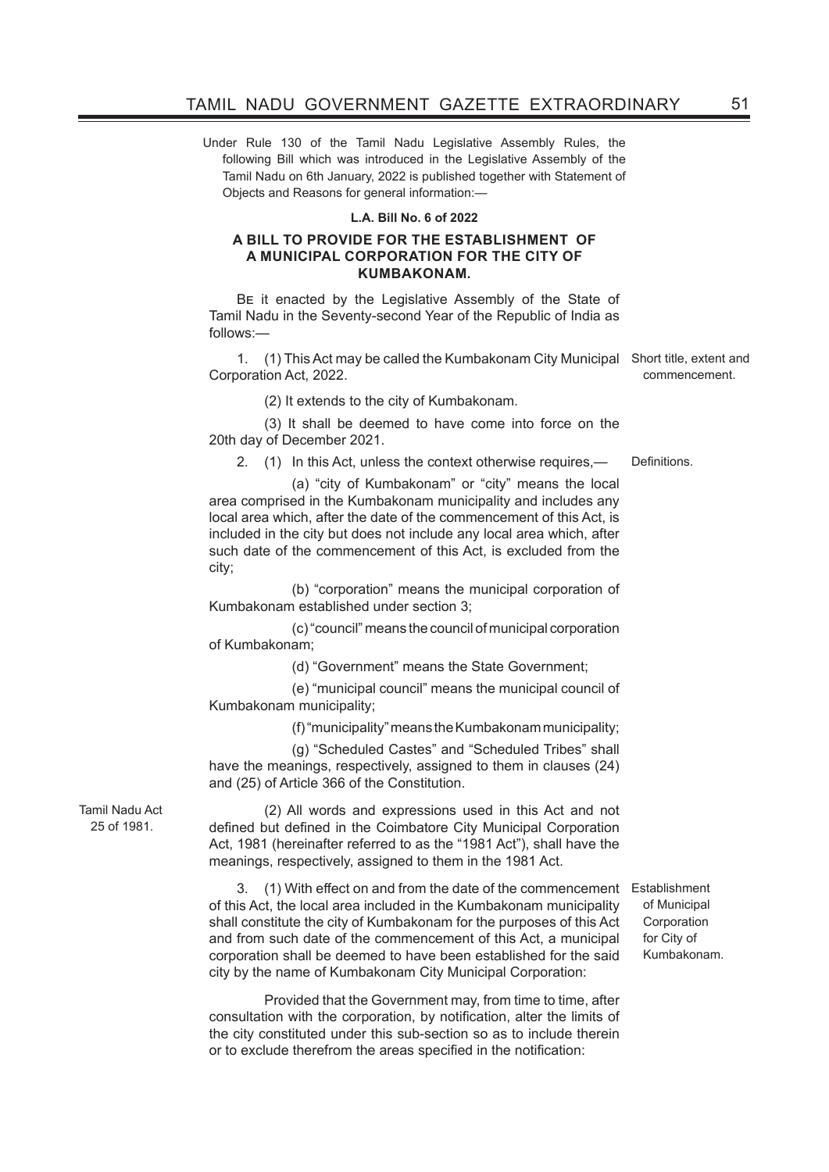Under Rule 130 of the Tamil Nadu Legislative Assembly Rules, the following Bill which was introduced in the Legislative Assembly of the Tamil Nadu on 6th January, 2022 is published together with Statement of Objects and Reasons for general information:—

#### **L.A. Bill No. 6 of 2022**

#### **A BILL TO PROVIDE FOR THE ESTABLISHMENT OF A MUNICIPAL CORPORATION FOR THE CITY OF KUMBAKONAM.**

Be it enacted by the Legislative Assembly of the State of Tamil Nadu in the Seventy-second Year of the Republic of India as follows:—

1. (1) This Act may be called the Kumbakonam City Municipal Short title, extent and Corporation Act, 2022.

(2) It extends to the city of Kumbakonam.

(3) It shall be deemed to have come into force on the 20th day of December 2021.

2. (1) In this Act, unless the context otherwise requires,— Definitions.

 (a) "city of Kumbakonam" or "city" means the local area comprised in the Kumbakonam municipality and includes any local area which, after the date of the commencement of this Act, is included in the city but does not include any local area which, after such date of the commencement of this Act, is excluded from the city;

 (b) "corporation" means the municipal corporation of Kumbakonam established under section 3;

 (c) "council" means the council of municipal corporation of Kumbakonam;

(d) "Government" means the State Government;

 (e) "municipal council" means the municipal council of Kumbakonam municipality;

(f) "municipality" means the Kumbakonam municipality;

 (g) "Scheduled Castes" and "Scheduled Tribes" shall have the meanings, respectively, assigned to them in clauses (24) and (25) of Article 366 of the Constitution.

Tamil Nadu Act 25 of 1981.

(2) All words and expressions used in this Act and not defined but defined in the Coimbatore City Municipal Corporation Act, 1981 (hereinafter referred to as the "1981 Act"), shall have the meanings, respectively, assigned to them in the 1981 Act.

3. (1) With effect on and from the date of the commencement Establishment of this Act, the local area included in the Kumbakonam municipality shall constitute the city of Kumbakonam for the purposes of this Act and from such date of the commencement of this Act, a municipal corporation shall be deemed to have been established for the said city by the name of Kumbakonam City Municipal Corporation:

Provided that the Government may, from time to time, after consultation with the corporation, by notification, alter the limits of the city constituted under this sub-section so as to include therein or to exclude therefrom the areas specified in the notification:

of Municipal **Corporation** for City of Kumbakonam.

commencement.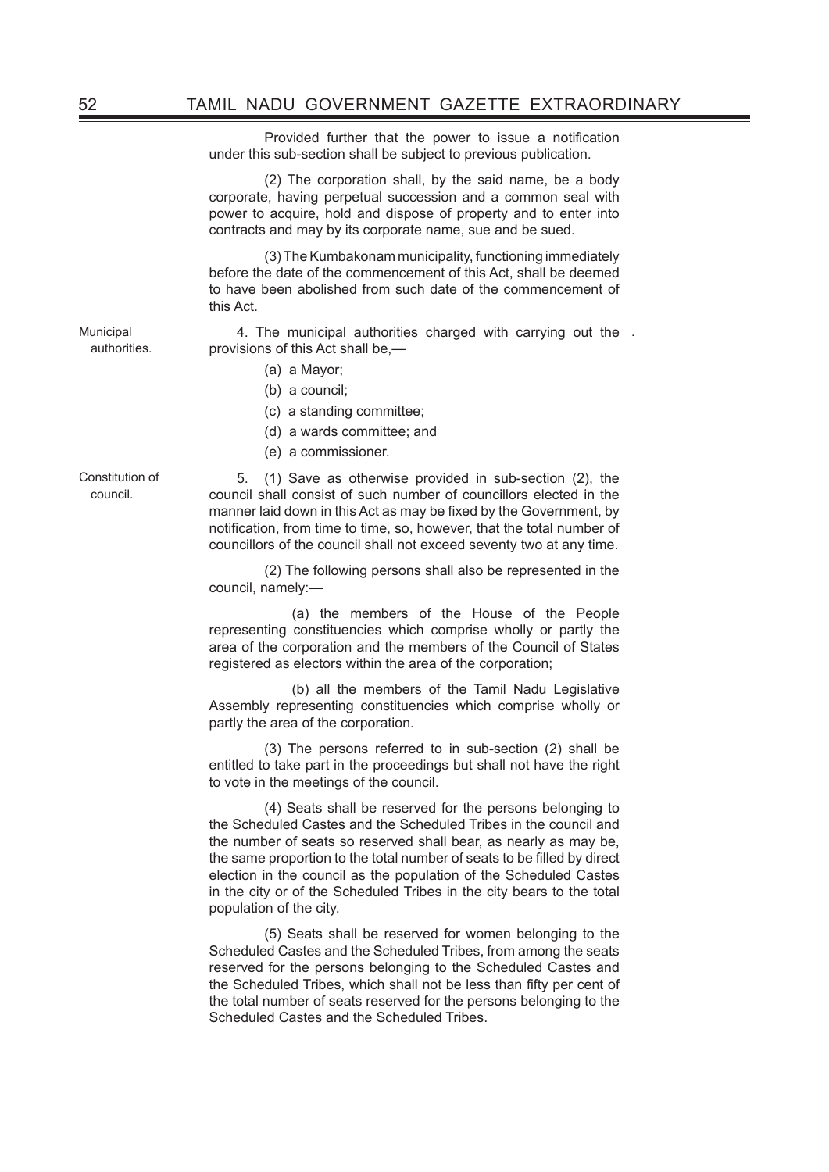Provided further that the power to issue a notification under this sub-section shall be subject to previous publication.

(2) The corporation shall, by the said name, be a body corporate, having perpetual succession and a common seal with power to acquire, hold and dispose of property and to enter into contracts and may by its corporate name, sue and be sued.

(3) The Kumbakonam municipality, functioning immediately before the date of the commencement of this Act, shall be deemed to have been abolished from such date of the commencement of this Act.

4. The municipal authorities charged with carrying out the . provisions of this Act shall be,—

- (a) a Mayor;
- (b) a council;
- (c) a standing committee;
- (d) a wards committee; and
- (e) a commissioner.

Constitution of council.

Municipal authorities.

> 5. (1) Save as otherwise provided in sub-section (2), the council shall consist of such number of councillors elected in the manner laid down in this Act as may be fixed by the Government, by notification, from time to time, so, however, that the total number of councillors of the council shall not exceed seventy two at any time.

> (2) The following persons shall also be represented in the council, namely:—

> (a) the members of the House of the People representing constituencies which comprise wholly or partly the area of the corporation and the members of the Council of States registered as electors within the area of the corporation;

> (b) all the members of the Tamil Nadu Legislative Assembly representing constituencies which comprise wholly or partly the area of the corporation.

> (3) The persons referred to in sub-section (2) shall be entitled to take part in the proceedings but shall not have the right to vote in the meetings of the council.

> (4) Seats shall be reserved for the persons belonging to the Scheduled Castes and the Scheduled Tribes in the council and the number of seats so reserved shall bear, as nearly as may be, the same proportion to the total number of seats to be filled by direct election in the council as the population of the Scheduled Castes in the city or of the Scheduled Tribes in the city bears to the total population of the city.

> (5) Seats shall be reserved for women belonging to the Scheduled Castes and the Scheduled Tribes, from among the seats reserved for the persons belonging to the Scheduled Castes and the Scheduled Tribes, which shall not be less than fifty per cent of the total number of seats reserved for the persons belonging to the Scheduled Castes and the Scheduled Tribes.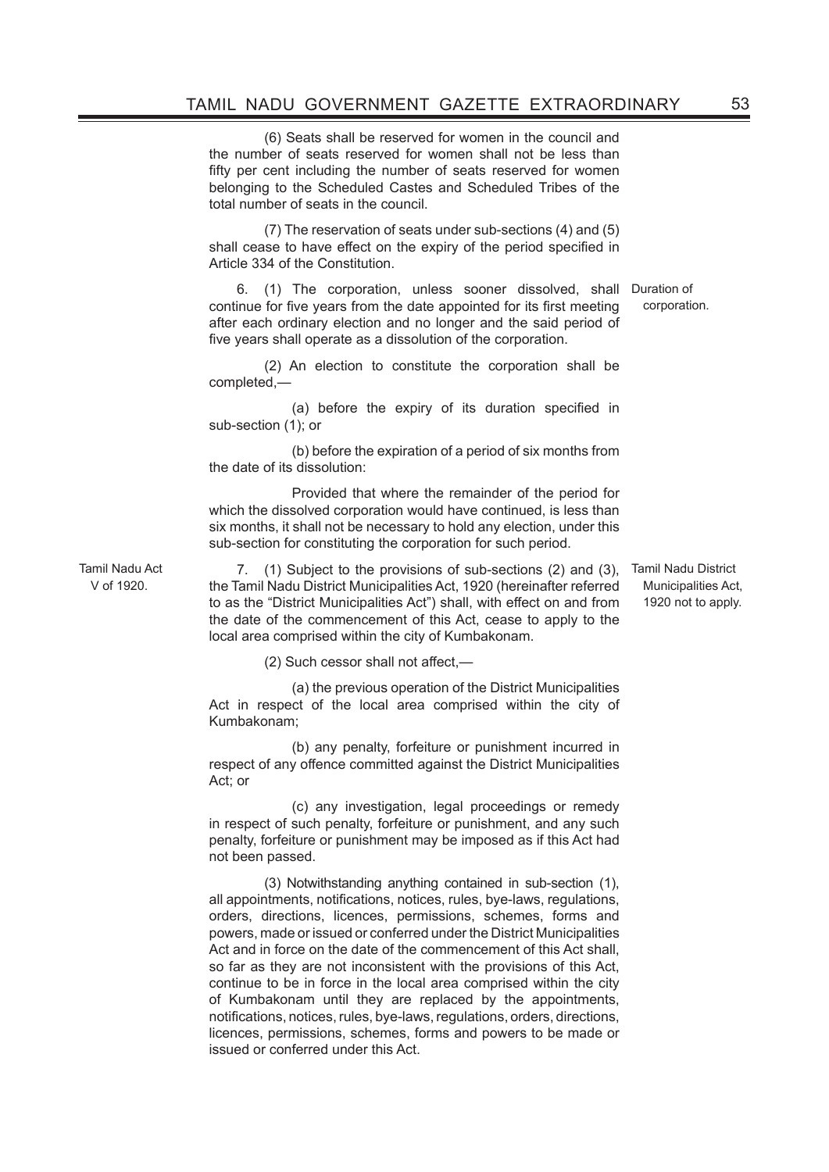(6) Seats shall be reserved for women in the council and the number of seats reserved for women shall not be less than fifty per cent including the number of seats reserved for women belonging to the Scheduled Castes and Scheduled Tribes of the total number of seats in the council.

(7) The reservation of seats under sub-sections (4) and (5) shall cease to have effect on the expiry of the period specified in Article 334 of the Constitution.

6. (1) The corporation, unless sooner dissolved, shall Duration of continue for five years from the date appointed for its first meeting after each ordinary election and no longer and the said period of five years shall operate as a dissolution of the corporation. corporation.

(2) An election to constitute the corporation shall be completed,—

 (a) before the expiry of its duration specified in sub-section (1); or

 (b) before the expiration of a period of six months from the date of its dissolution:

 Provided that where the remainder of the period for which the dissolved corporation would have continued, is less than six months, it shall not be necessary to hold any election, under this sub-section for constituting the corporation for such period.

Tamil Nadu Act V of 1920.

7. (1) Subject to the provisions of sub-sections (2) and (3), Tamil Nadu District the Tamil Nadu District Municipalities Act, 1920 (hereinafter referred to as the "District Municipalities Act") shall, with effect on and from the date of the commencement of this Act, cease to apply to the local area comprised within the city of Kumbakonam.

 (2) Such cessor shall not affect,—

 (a) the previous operation of the District Municipalities Act in respect of the local area comprised within the city of Kumbakonam;

 (b) any penalty, forfeiture or punishment incurred in respect of any offence committed against the District Municipalities Act; or

 (c) any investigation, legal proceedings or remedy in respect of such penalty, forfeiture or punishment, and any such penalty, forfeiture or punishment may be imposed as if this Act had not been passed.

(3) Notwithstanding anything contained in sub-section (1), all appointments, notifications, notices, rules, bye-laws, regulations, orders, directions, licences, permissions, schemes, forms and powers, made or issued or conferred under the District Municipalities Act and in force on the date of the commencement of this Act shall, so far as they are not inconsistent with the provisions of this Act, continue to be in force in the local area comprised within the city of Kumbakonam until they are replaced by the appointments, notifications, notices, rules, bye-laws, regulations, orders, directions, licences, permissions, schemes, forms and powers to be made or issued or conferred under this Act.

Municipalities Act, 1920 not to apply.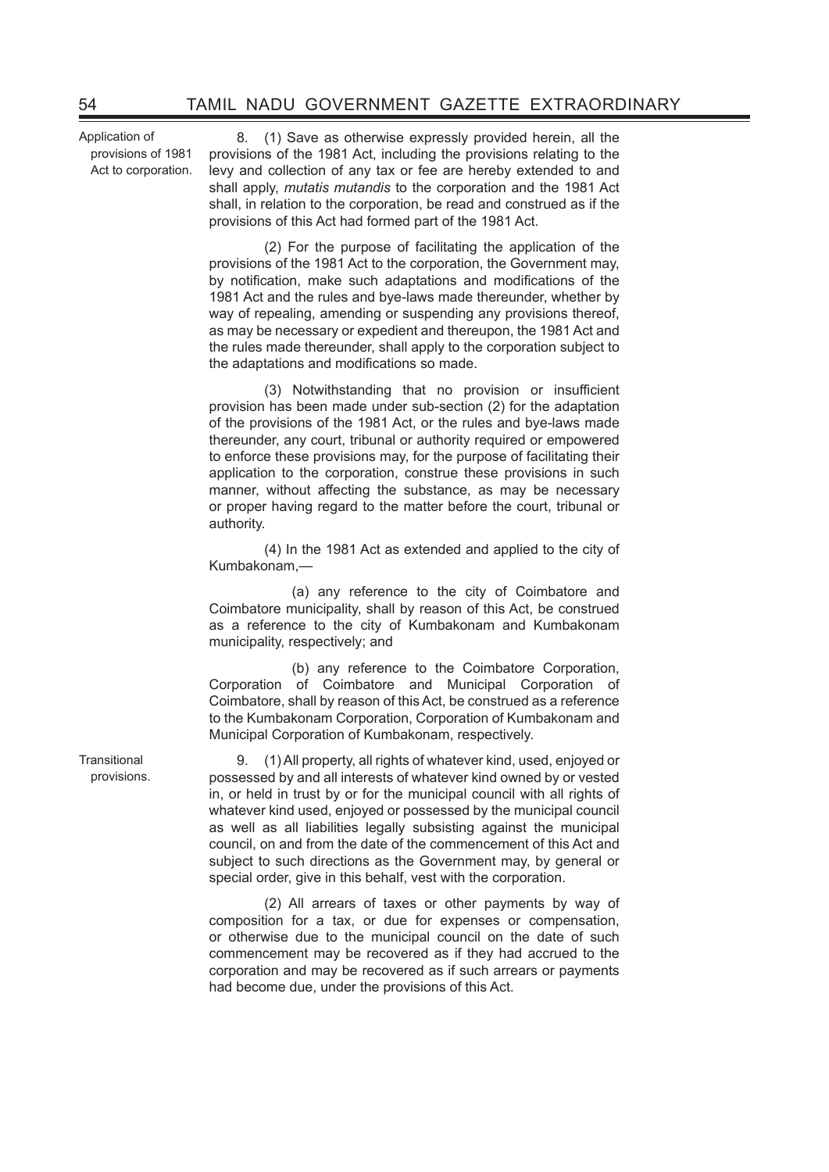Application of provisions of 1981 Act to corporation.

8. (1) Save as otherwise expressly provided herein, all the provisions of the 1981 Act, including the provisions relating to the levy and collection of any tax or fee are hereby extended to and shall apply, *mutatis mutandis* to the corporation and the 1981 Act shall, in relation to the corporation, be read and construed as if the provisions of this Act had formed part of the 1981 Act.

(2) For the purpose of facilitating the application of the provisions of the 1981 Act to the corporation, the Government may, by notification, make such adaptations and modifications of the 1981 Act and the rules and bye-laws made thereunder, whether by way of repealing, amending or suspending any provisions thereof. as may be necessary or expedient and thereupon, the 1981 Act and the rules made thereunder, shall apply to the corporation subject to the adaptations and modifications so made.

 (3) Notwithstanding that no provision or insufficient provision has been made under sub-section (2) for the adaptation of the provisions of the 1981 Act, or the rules and bye-laws made thereunder, any court, tribunal or authority required or empowered to enforce these provisions may, for the purpose of facilitating their application to the corporation, construe these provisions in such manner, without affecting the substance, as may be necessary or proper having regard to the matter before the court, tribunal or authority.

 (4) In the 1981 Act as extended and applied to the city of Kumbakonam,—

 (a) any reference to the city of Coimbatore and Coimbatore municipality, shall by reason of this Act, be construed as a reference to the city of Kumbakonam and Kumbakonam municipality, respectively; and

 (b) any reference to the Coimbatore Corporation, Corporation of Coimbatore and Municipal Corporation of Coimbatore, shall by reason of this Act, be construed as a reference to the Kumbakonam Corporation, Corporation of Kumbakonam and Municipal Corporation of Kumbakonam, respectively.

9. (1)All property, all rights of whatever kind, used, enjoyed or possessed by and all interests of whatever kind owned by or vested in, or held in trust by or for the municipal council with all rights of whatever kind used, enjoyed or possessed by the municipal council as well as all liabilities legally subsisting against the municipal council, on and from the date of the commencement of this Act and subject to such directions as the Government may, by general or special order, give in this behalf, vest with the corporation.

(2) All arrears of taxes or other payments by way of composition for a tax, or due for expenses or compensation, or otherwise due to the municipal council on the date of such commencement may be recovered as if they had accrued to the corporation and may be recovered as if such arrears or payments had become due, under the provisions of this Act.

**Transitional** provisions.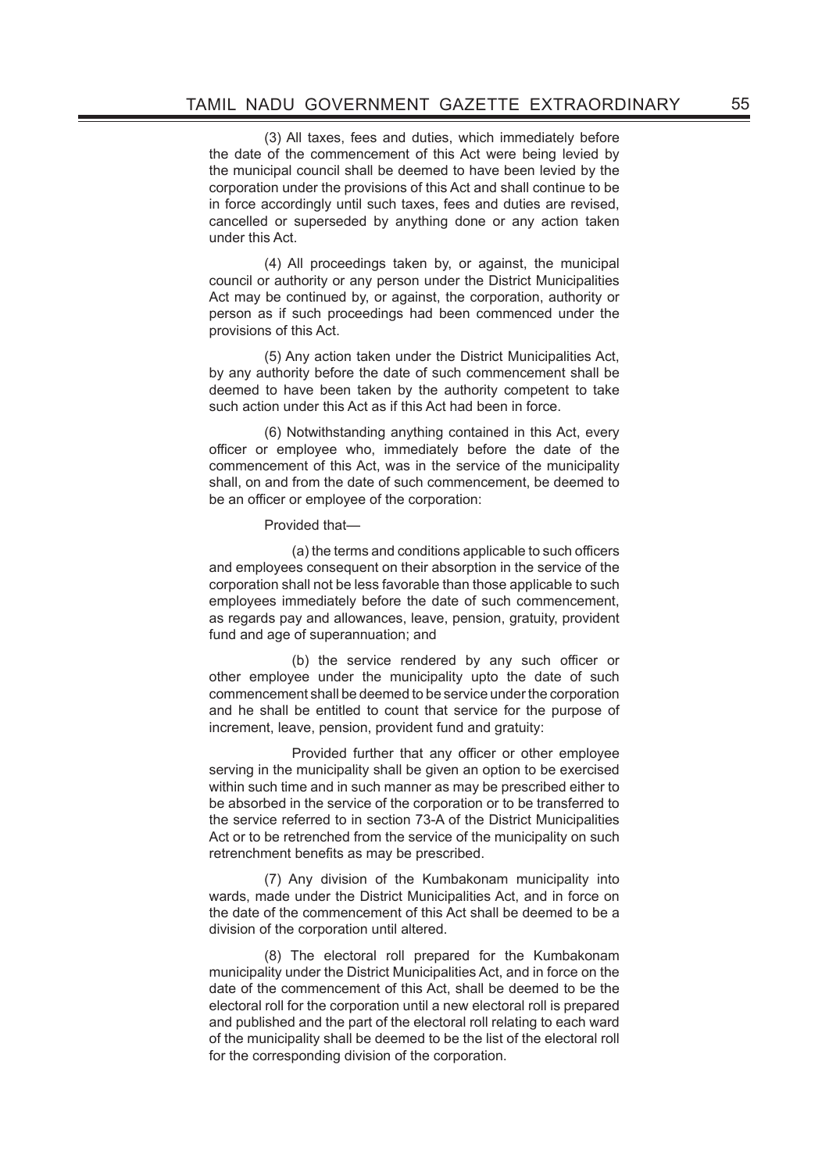(3) All taxes, fees and duties, which immediately before the date of the commencement of this Act were being levied by the municipal council shall be deemed to have been levied by the corporation under the provisions of this Act and shall continue to be in force accordingly until such taxes, fees and duties are revised, cancelled or superseded by anything done or any action taken under this Act.

(4) All proceedings taken by, or against, the municipal council or authority or any person under the District Municipalities Act may be continued by, or against, the corporation, authority or person as if such proceedings had been commenced under the provisions of this Act.

(5) Any action taken under the District Municipalities Act, by any authority before the date of such commencement shall be deemed to have been taken by the authority competent to take such action under this Act as if this Act had been in force.

(6) Notwithstanding anything contained in this Act, every officer or employee who, immediately before the date of the commencement of this Act, was in the service of the municipality shall, on and from the date of such commencement, be deemed to be an officer or employee of the corporation:

Provided that—

 (a) the terms and conditions applicable to such officers and employees consequent on their absorption in the service of the corporation shall not be less favorable than those applicable to such employees immediately before the date of such commencement, as regards pay and allowances, leave, pension, gratuity, provident fund and age of superannuation; and

 (b) the service rendered by any such officer or other employee under the municipality upto the date of such commencement shall be deemed to be service under the corporation and he shall be entitled to count that service for the purpose of increment, leave, pension, provident fund and gratuity:

 Provided further that any officer or other employee serving in the municipality shall be given an option to be exercised within such time and in such manner as may be prescribed either to be absorbed in the service of the corporation or to be transferred to the service referred to in section 73-A of the District Municipalities Act or to be retrenched from the service of the municipality on such retrenchment benefits as may be prescribed.

(7) Any division of the Kumbakonam municipality into wards, made under the District Municipalities Act, and in force on the date of the commencement of this Act shall be deemed to be a division of the corporation until altered.

 (8) The electoral roll prepared for the Kumbakonam municipality under the District Municipalities Act, and in force on the date of the commencement of this Act, shall be deemed to be the electoral roll for the corporation until a new electoral roll is prepared and published and the part of the electoral roll relating to each ward of the municipality shall be deemed to be the list of the electoral roll for the corresponding division of the corporation.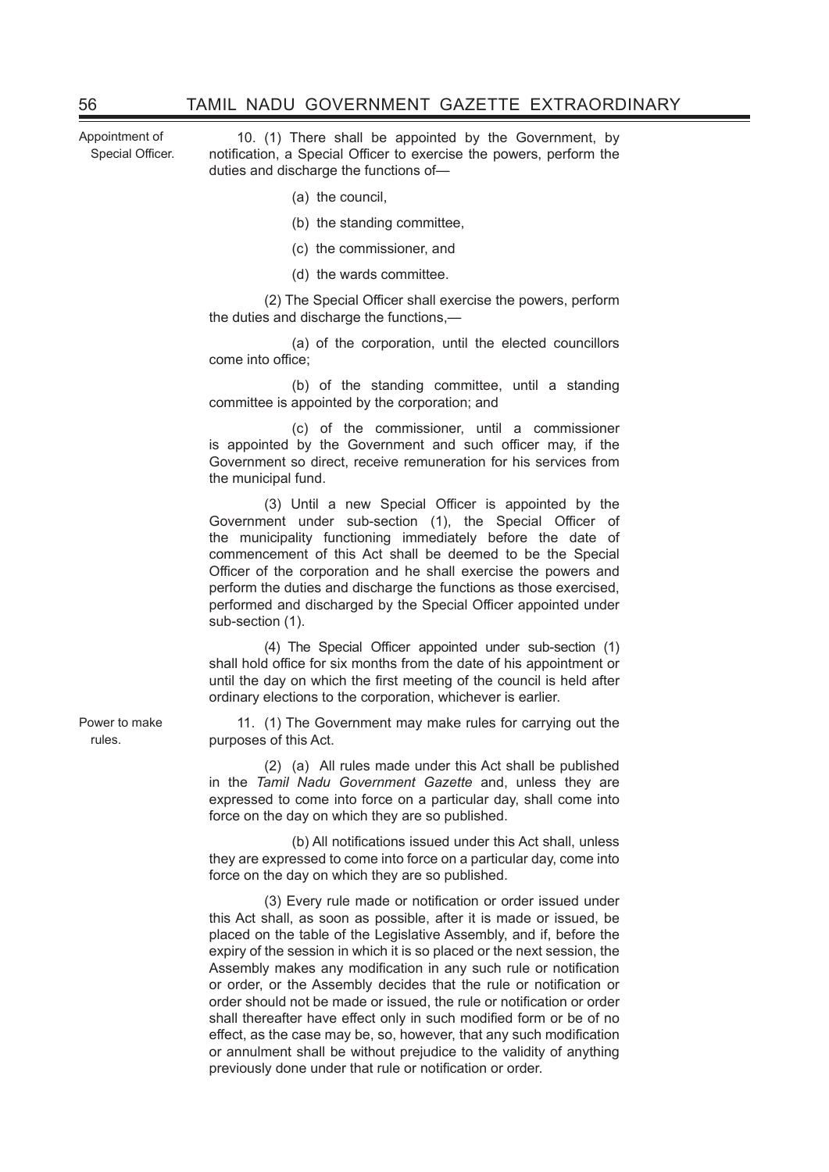Appointment of Special Officer.

10. (1) There shall be appointed by the Government, by notification, a Special Officer to exercise the powers, perform the duties and discharge the functions of—

- (a) the council,
- (b) the standing committee,
- (c) the commissioner, and
- (d) the wards committee.

 (2) The Special Officer shall exercise the powers, perform the duties and discharge the functions,—

 (a) of the corporation, until the elected councillors come into office;

 (b) of the standing committee, until a standing committee is appointed by the corporation; and

 (c) of the commissioner, until a commissioner is appointed by the Government and such officer may, if the Government so direct, receive remuneration for his services from the municipal fund.

 (3) Until a new Special Officer is appointed by the Government under sub-section (1), the Special Officer of the municipality functioning immediately before the date of commencement of this Act shall be deemed to be the Special Officer of the corporation and he shall exercise the powers and perform the duties and discharge the functions as those exercised, performed and discharged by the Special Officer appointed under sub-section (1).

 (4) The Special Officer appointed under sub-section (1) shall hold office for six months from the date of his appointment or until the day on which the first meeting of the council is held after ordinary elections to the corporation, whichever is earlier.

11. (1) The Government may make rules for carrying out the purposes of this Act.

(2) (a) All rules made under this Act shall be published in the *Tamil Nadu Government Gazette* and, unless they are expressed to come into force on a particular day, shall come into force on the day on which they are so published.

 (b) All notifications issued under this Act shall, unless they are expressed to come into force on a particular day, come into force on the day on which they are so published.

 (3) Every rule made or notification or order issued under this Act shall, as soon as possible, after it is made or issued, be placed on the table of the Legislative Assembly, and if, before the expiry of the session in which it is so placed or the next session, the Assembly makes any modification in any such rule or notification or order, or the Assembly decides that the rule or notification or order should not be made or issued, the rule or notification or order shall thereafter have effect only in such modified form or be of no effect, as the case may be, so, however, that any such modification or annulment shall be without prejudice to the validity of anything previously done under that rule or notification or order.

Power to make rules.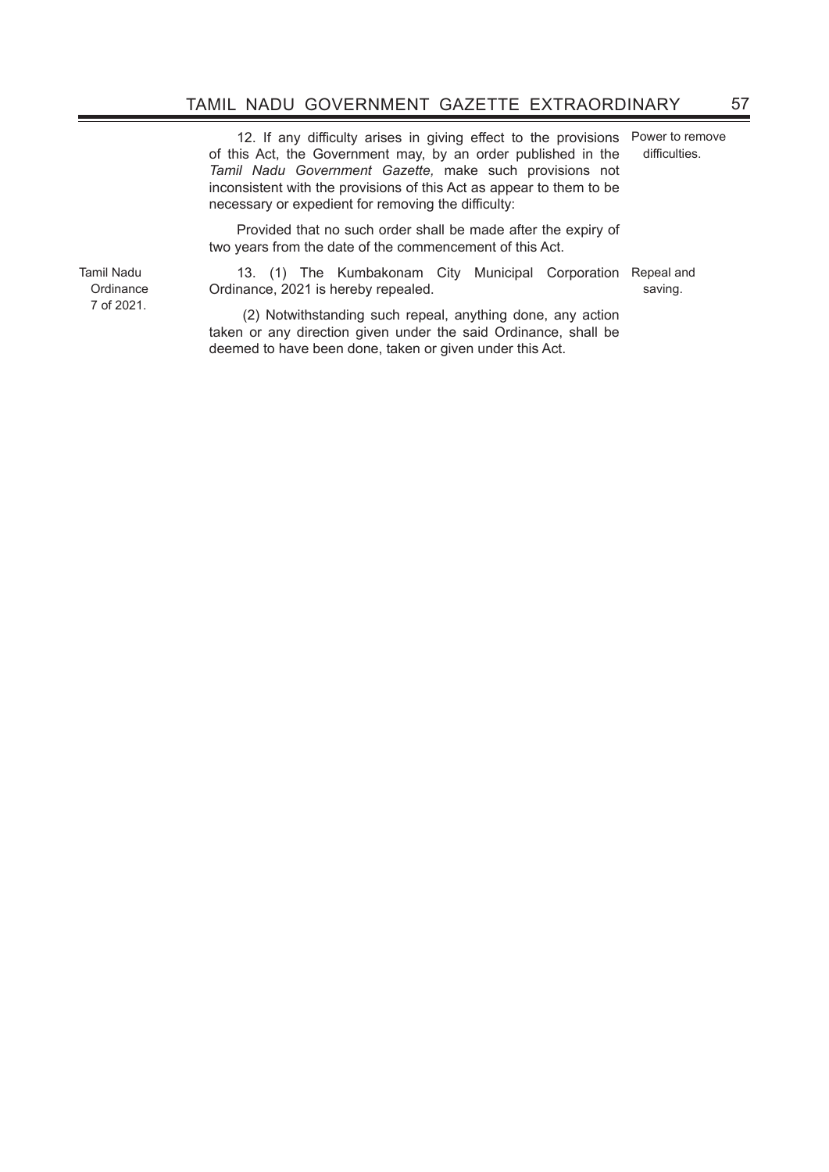12. If any difficulty arises in giving effect to the provisions of this Act, the Government may, by an order published in the *Tamil Nadu Government Gazette,* make such provisions not inconsistent with the provisions of this Act as appear to them to be necessary or expedient for removing the difficulty:

Power to remove difficulties.

Provided that no such order shall be made after the expiry of two years from the date of the commencement of this Act.

Tamil Nadu **Ordinance** 7 of 2021.

13. (1) The Kumbakonam City Municipal Corporation Repeal and Ordinance, 2021 is hereby repealed. saving.

 (2) Notwithstanding such repeal, anything done, any action taken or any direction given under the said Ordinance, shall be deemed to have been done, taken or given under this Act.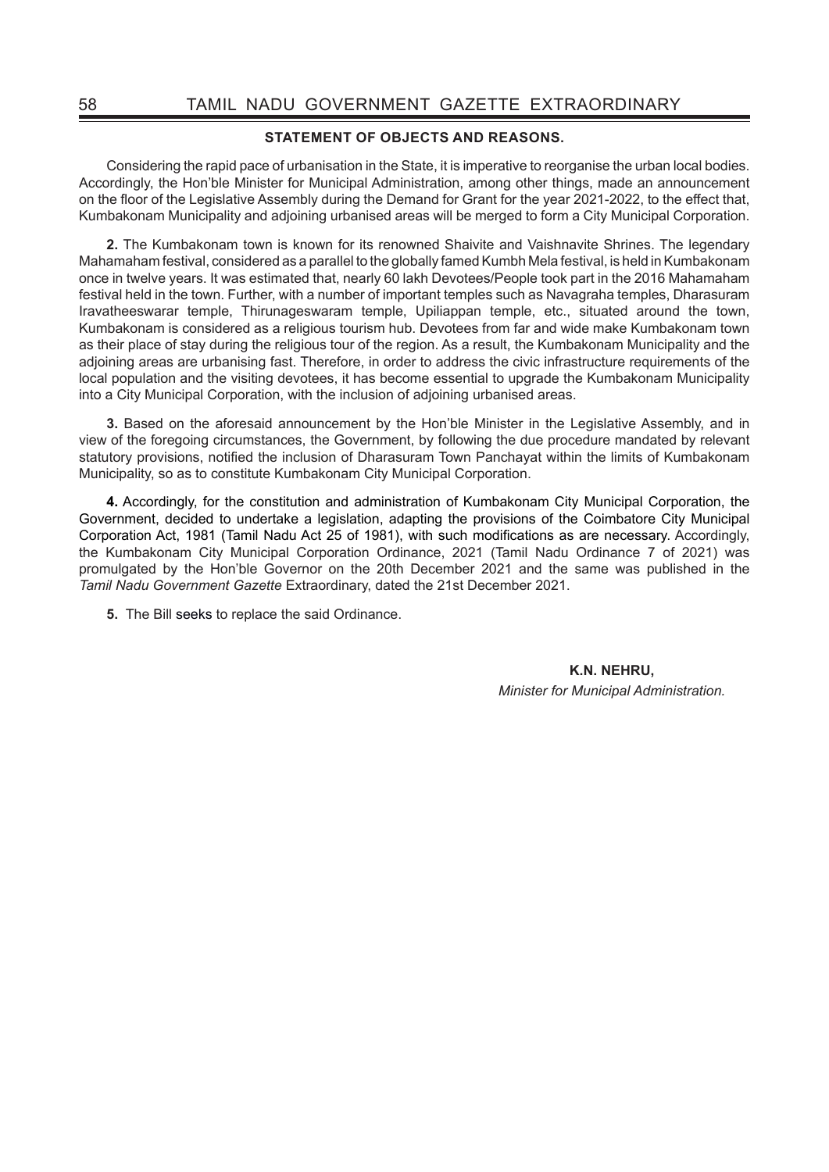## **STATEMENT OF OBJECTS AND REASONS.**

Considering the rapid pace of urbanisation in the State, it is imperative to reorganise the urban local bodies. Accordingly, the Hon'ble Minister for Municipal Administration, among other things, made an announcement on the floor of the Legislative Assembly during the Demand for Grant for the year 2021-2022, to the effect that, Kumbakonam Municipality and adjoining urbanised areas will be merged to form a City Municipal Corporation.

**2.** The Kumbakonam town is known for its renowned Shaivite and Vaishnavite Shrines. The legendary Mahamaham festival, considered as a parallel to the globally famed Kumbh Mela festival, is held in Kumbakonam once in twelve years. It was estimated that, nearly 60 lakh Devotees/People took part in the 2016 Mahamaham festival held in the town. Further, with a number of important temples such as Navagraha temples, Dharasuram Iravatheeswarar temple, Thirunageswaram temple, Upiliappan temple, etc., situated around the town, Kumbakonam is considered as a religious tourism hub. Devotees from far and wide make Kumbakonam town as their place of stay during the religious tour of the region. As a result, the Kumbakonam Municipality and the adjoining areas are urbanising fast. Therefore, in order to address the civic infrastructure requirements of the local population and the visiting devotees, it has become essential to upgrade the Kumbakonam Municipality into a City Municipal Corporation, with the inclusion of adjoining urbanised areas.

**3.** Based on the aforesaid announcement by the Hon'ble Minister in the Legislative Assembly, and in view of the foregoing circumstances, the Government, by following the due procedure mandated by relevant statutory provisions, notified the inclusion of Dharasuram Town Panchayat within the limits of Kumbakonam Municipality, so as to constitute Kumbakonam City Municipal Corporation.

**4.** Accordingly, for the constitution and administration of Kumbakonam City Municipal Corporation, the Government, decided to undertake a legislation, adapting the provisions of the Coimbatore City Municipal Corporation Act, 1981 (Tamil Nadu Act 25 of 1981), with such modifications as are necessary. Accordingly, the Kumbakonam City Municipal Corporation Ordinance, 2021 (Tamil Nadu Ordinance 7 of 2021) was promulgated by the Hon'ble Governor on the 20th December 2021 and the same was published in the *Tamil Nadu Government Gazette* Extraordinary, dated the 21st December 2021.

**5.** The Bill seeks to replace the said Ordinance.

**K.N. NEHRU,** *Minister for Municipal Administration.*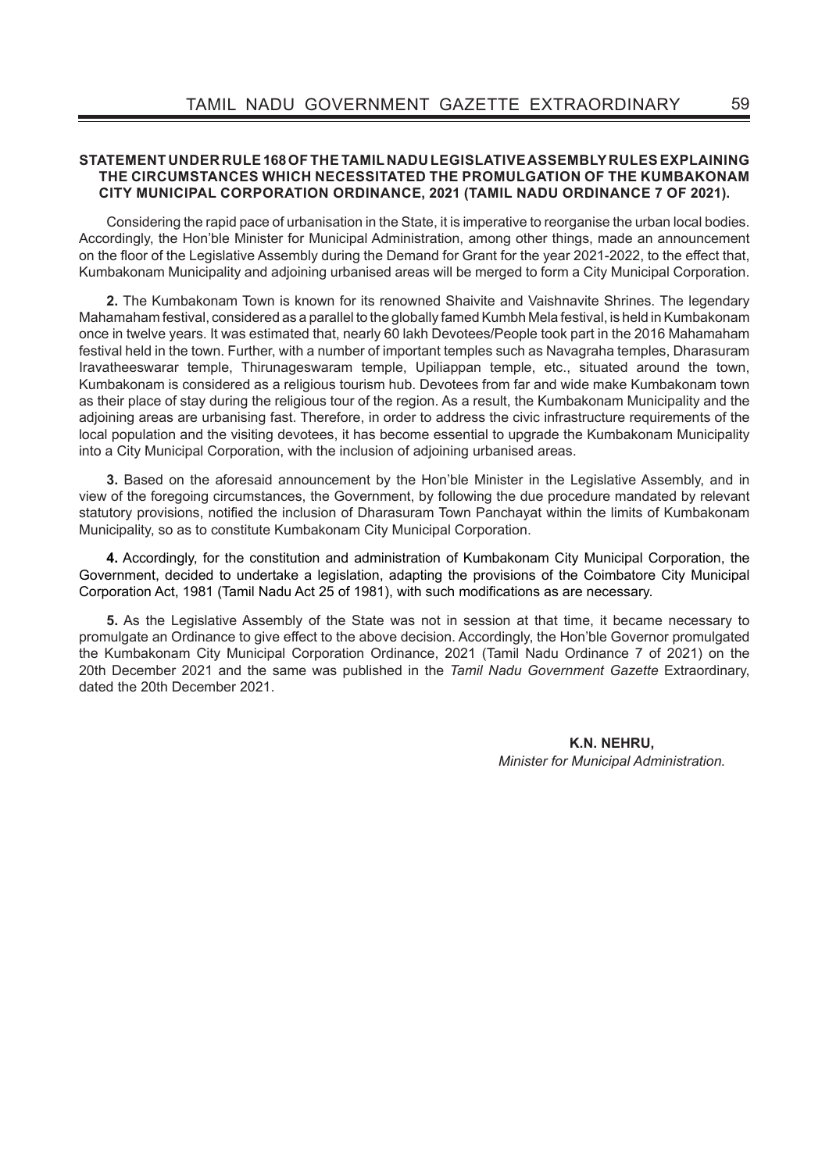## **STATEMENT UNDER RULE 168 OF THE TAMIL NADU LEGISLATIVE ASSEMBLY RULES EXPLAINING THE CIRCUMSTANCES WHICH NECESSITATED THE PROMULGATION OF THE KUMBAKONAM CITY MUNICIPAL CORPORATION ORDINANCE, 2021 (TAMIL NADU ORDINANCE 7 OF 2021).**

Considering the rapid pace of urbanisation in the State, it is imperative to reorganise the urban local bodies. Accordingly, the Hon'ble Minister for Municipal Administration, among other things, made an announcement on the floor of the Legislative Assembly during the Demand for Grant for the year 2021-2022, to the effect that, Kumbakonam Municipality and adjoining urbanised areas will be merged to form a City Municipal Corporation.

**2.** The Kumbakonam Town is known for its renowned Shaivite and Vaishnavite Shrines. The legendary Mahamaham festival, considered as a parallel to the globally famed Kumbh Mela festival, is held in Kumbakonam once in twelve years. It was estimated that, nearly 60 lakh Devotees/People took part in the 2016 Mahamaham festival held in the town. Further, with a number of important temples such as Navagraha temples, Dharasuram Iravatheeswarar temple, Thirunageswaram temple, Upiliappan temple, etc., situated around the town, Kumbakonam is considered as a religious tourism hub. Devotees from far and wide make Kumbakonam town as their place of stay during the religious tour of the region. As a result, the Kumbakonam Municipality and the adjoining areas are urbanising fast. Therefore, in order to address the civic infrastructure requirements of the local population and the visiting devotees, it has become essential to upgrade the Kumbakonam Municipality into a City Municipal Corporation, with the inclusion of adjoining urbanised areas.

**3.** Based on the aforesaid announcement by the Hon'ble Minister in the Legislative Assembly, and in view of the foregoing circumstances, the Government, by following the due procedure mandated by relevant statutory provisions, notified the inclusion of Dharasuram Town Panchayat within the limits of Kumbakonam Municipality, so as to constitute Kumbakonam City Municipal Corporation.

**4.** Accordingly, for the constitution and administration of Kumbakonam City Municipal Corporation, the Government, decided to undertake a legislation, adapting the provisions of the Coimbatore City Municipal Corporation Act, 1981 (Tamil Nadu Act 25 of 1981), with such modifications as are necessary.

**5.** As the Legislative Assembly of the State was not in session at that time, it became necessary to promulgate an Ordinance to give effect to the above decision. Accordingly, the Hon'ble Governor promulgated the Kumbakonam City Municipal Corporation Ordinance, 2021 (Tamil Nadu Ordinance 7 of 2021) on the 20th December 2021 and the same was published in the *Tamil Nadu Government Gazette* Extraordinary, dated the 20th December 2021.

> **K.N. NEHRU,** *Minister for Municipal Administration.*